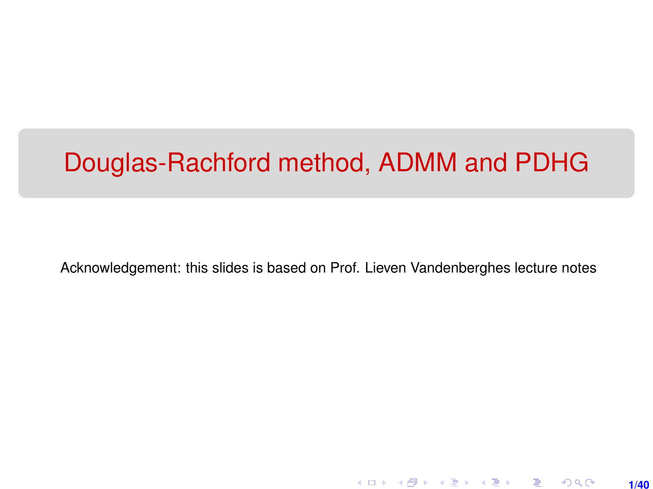# Douglas-Rachford method, ADMM and PDHG

Acknowledgement: this slides is based on Prof. Lieven Vandenberghes lecture notes

**1/40**

K ロ ▶ K 레 ▶ K 회 ▶ K 회 ▶ │ 회 │ ⊙ Q Q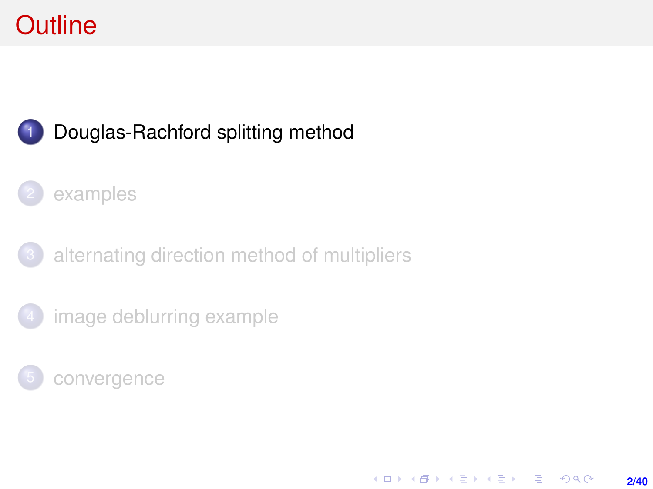# <span id="page-1-0"></span>**Outline**



## 1 [Douglas-Rachford splitting method](#page-1-0)

### [examples](#page-6-0)

[alternating direction method of multipliers](#page-12-0)

[image deblurring example](#page-20-0)

[convergence](#page-26-0)

**KORKARK (EXIST) E MOOR 2/40**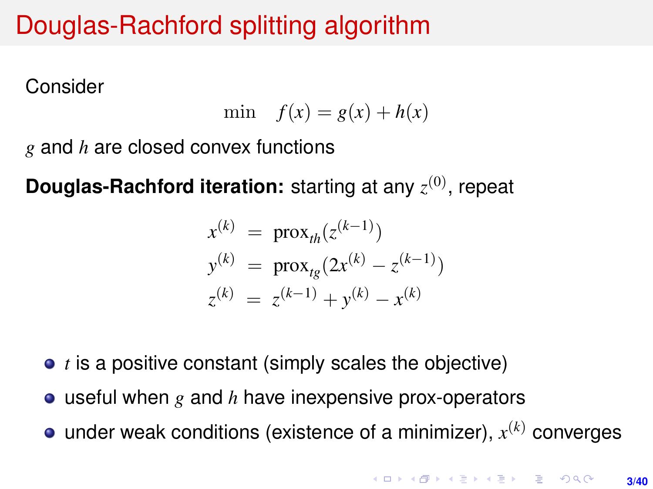# Douglas-Rachford splitting algorithm

Consider

$$
\min \quad f(x) = g(x) + h(x)
$$

*g* and *h* are closed convex functions

**Douglas-Rachford iteration:** starting at any  $z^{(0)}$ , repeat

$$
x^{(k)} = \text{prox}_{th}(z^{(k-1)})
$$
  
\n
$$
y^{(k)} = \text{prox}_{tg}(2x^{(k)} - z^{(k-1)})
$$
  
\n
$$
z^{(k)} = z^{(k-1)} + y^{(k)} - x^{(k)}
$$

- *t* is a positive constant (simply scales the objective)
- useful when *g* and *h* have inexpensive prox-operators
- under weak conditions (existence of a minimizer), *x* (*k*) converges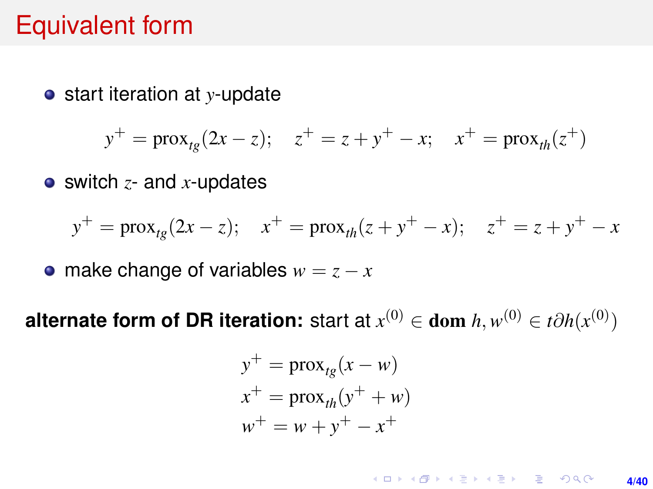# Equivalent form

start iteration at *y*-update

$$
y^+ = \text{prox}_{tg}(2x - z); \quad z^+ = z + y^+ - x; \quad x^+ = \text{prox}_{th}(z^+)
$$

switch *z*- and *x*-updates

$$
y^{+} = \text{prox}_{tg}(2x - z); \quad x^{+} = \text{prox}_{th}(z + y^{+} - x); \quad z^{+} = z + y^{+} - x
$$

• make change of variables  $w = z - x$ 

**alternate form of DR iteration:** start at  $x^{(0)} \in$  dom  $h, w^{(0)} \in t \partial h(x^{(0)})$ 

$$
y^{+} = \text{prox}_{tg}(x - w)
$$
  

$$
x^{+} = \text{prox}_{th}(y^{+} + w)
$$
  

$$
w^{+} = w + y^{+} - x^{+}
$$

**KORKARK (EXIST) E MOOR 4/40**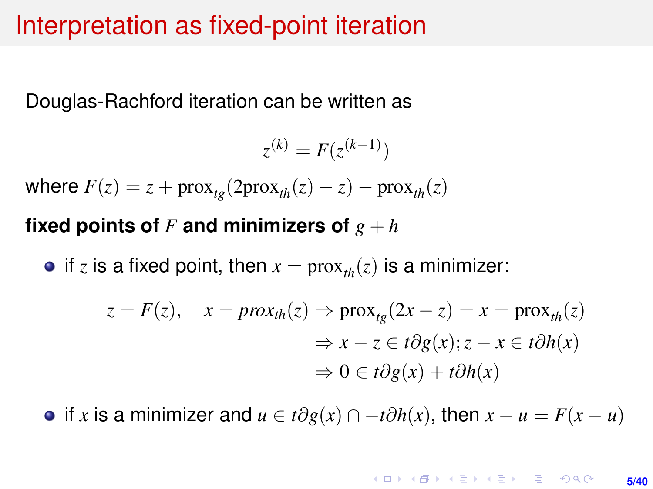## Interpretation as fixed-point iteration

Douglas-Rachford iteration can be written as

$$
z^{(k)} = F(z^{(k-1)})
$$

where  $F(z) = z + prox_{t_p}(2prox_{th}(z) - z) - prox_{th}(z)$ 

### **fixed points of** F and minimizers of  $g + h$

• if *z* is a fixed point, then  $x = \text{prox}_{tk}(z)$  is a minimizer:

$$
z = F(z), \quad x = prox_{th}(z) \Rightarrow prox_{tg}(2x - z) = x = prox_{th}(z)
$$

$$
\Rightarrow x - z \in t\partial g(x); z - x \in t\partial h(x)
$$

$$
\Rightarrow 0 \in t\partial g(x) + t\partial h(x)
$$

 $\bullet$  if *x* is a minimizer and  $u \in t\partial g(x) \cap -t\partial h(x)$ , then  $x - u = F(x - u)$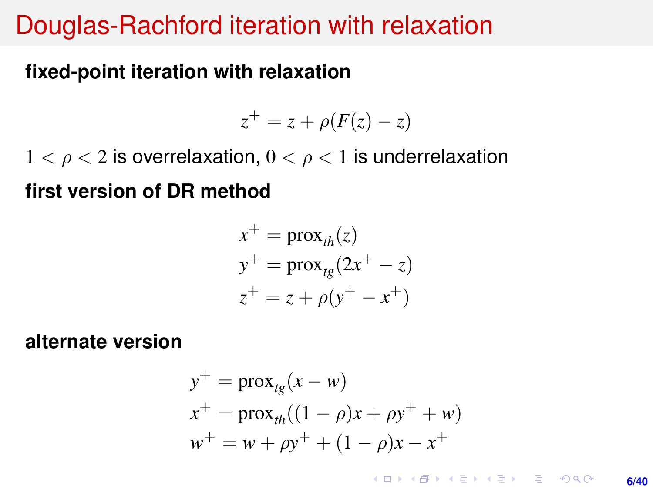## Douglas-Rachford iteration with relaxation

### **fixed-point iteration with relaxation**

$$
z^+ = z + \rho(F(z) - z)
$$

 $1 < \rho < 2$  is overrelaxation,  $0 < \rho < 1$  is underrelaxation

**first version of DR method**

$$
x^{+} = \text{prox}_{th}(z)
$$
  
\n
$$
y^{+} = \text{prox}_{tg}(2x^{+} - z)
$$
  
\n
$$
z^{+} = z + \rho(y^{+} - x^{+})
$$

**alternate version**

$$
y^{+} = \text{prox}_{tg}(x - w)
$$
  
\n
$$
x^{+} = \text{prox}_{th}((1 - \rho)x + \rho y^{+} + w)
$$
  
\n
$$
w^{+} = w + \rho y^{+} + (1 - \rho)x - x^{+}
$$

**KORKAR KERKER E VOOR 6/40**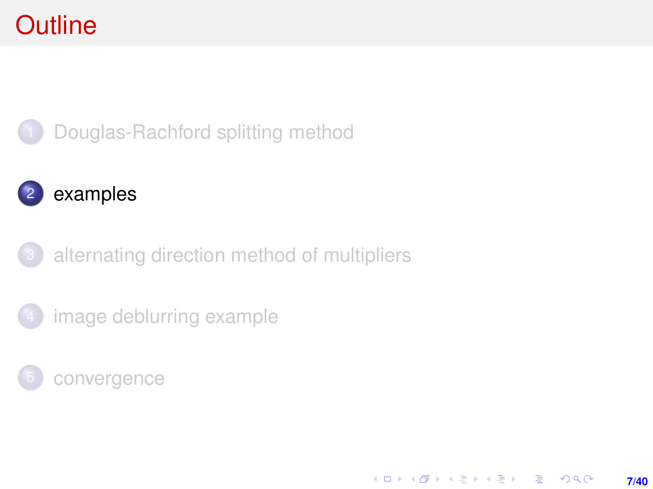# <span id="page-6-0"></span>**Outline**



# 2 [examples](#page-6-0)

[alternating direction method of multipliers](#page-12-0)

[image deblurring example](#page-20-0)

[convergence](#page-26-0)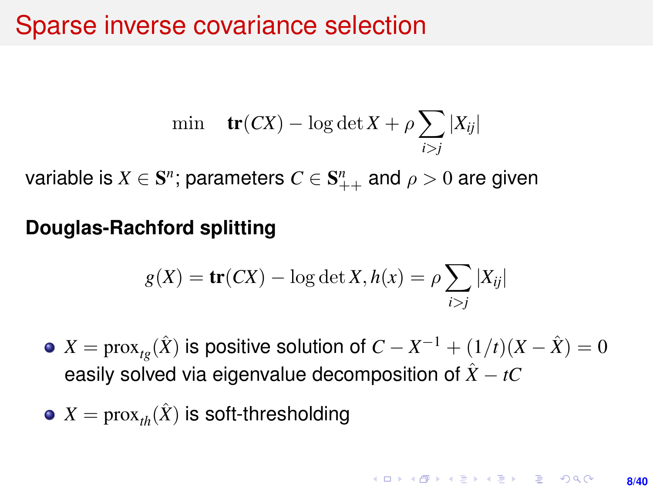## Sparse inverse covariance selection

$$
\min \quad \mathbf{tr}(CX) - \log \det X + \rho \sum_{i>j} |X_{ij}|
$$

variable is  $X \in \mathbf{S}^n$ ; parameters  $C \in \mathbf{S}_{++}^n$  and  $\rho > 0$  are given

### **Douglas-Rachford splitting**

$$
g(X) = \mathbf{tr}(CX) - \log \det X, h(x) = \rho \sum_{i > j} |X_{ij}|
$$

- $X = \mathrm{prox}_{tg}(\hat{X})$  is positive solution of  $C X^{-1} + (1/t)(X \hat{X}) = 0$ easily solved via eigenvalue decomposition of  $\hat{X} - tC$
- $X = prox_{th}(\hat{X})$  is soft-thresholding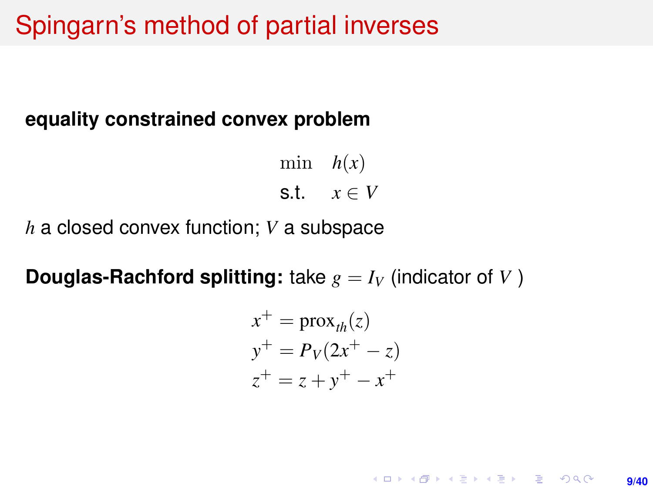## Spingarn's method of partial inverses

#### **equality constrained convex problem**

min  $h(x)$ s.t.  $x \in V$ 

*h* a closed convex function; *V* a subspace

**Douglas-Rachford splitting:** take  $g = I_V$  (indicator of *V*)

$$
x^{+} = \text{prox}_{th}(z)
$$
  
\n
$$
y^{+} = P_{V}(2x^{+} - z)
$$
  
\n
$$
z^{+} = z + y^{+} - x^{+}
$$

**KORKARK (EXIST) E MOOR 9/40**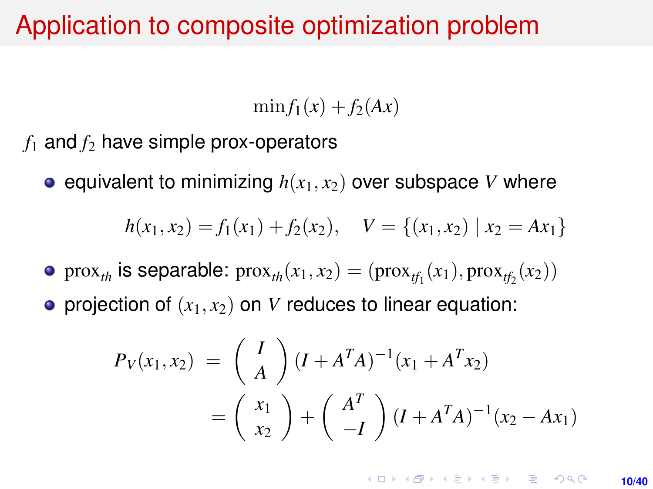## Application to composite optimization problem

 $\min f_1(x) + f_2(Ax)$ 

 $f_1$  and  $f_2$  have simple prox-operators

**e** equivalent to minimizing  $h(x_1, x_2)$  over subspace *V* where

$$
h(x_1, x_2) = f_1(x_1) + f_2(x_2), \quad V = \{(x_1, x_2) \mid x_2 = Ax_1\}
$$

prox<sub>*th*</sub> is separable:  $prox_{th}(x_1, x_2) = (prox_{tf_1}(x_1), prox_{tf_2}(x_2))$ 

• projection of  $(x_1, x_2)$  on *V* reduces to linear equation:

$$
P_V(x_1, x_2) = \binom{I}{A} (I + A^T A)^{-1} (x_1 + A^T x_2)
$$
  
= 
$$
\binom{x_1}{x_2} + \binom{A^T}{-I} (I + A^T A)^{-1} (x_2 - Ax_1)
$$

**KORKARK A BIK BIKA A GA A GA A GA A BIKA A BIKA A BIKA A BIKA A BIKA A BIKA A BIKA A BIKA A BIKA A BIKA A BIKA 10/40**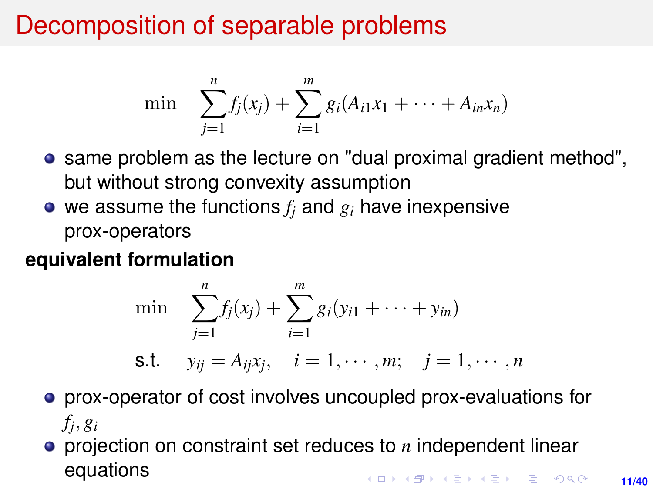# Decomposition of separable problems

$$
\min \sum_{j=1}^n f_j(x_j) + \sum_{i=1}^m g_i(A_{i1}x_1 + \cdots + A_{in}x_n)
$$

- same problem as the lecture on "dual proximal gradient method", but without strong convexity assumption
- $\bullet$  we assume the functions  $f_i$  and  $g_i$  have inexpensive prox-operators

### **equivalent formulation**

min 
$$
\sum_{j=1}^{n} f_j(x_j) + \sum_{i=1}^{m} g_i(y_{i1} + \cdots + y_{in})
$$
  
s.t.  $y_{ij} = A_{ij}x_j$ ,  $i = 1, \cdots, m$ ;  $j = 1, \cdots, n$ 

- prox-operator of cost involves uncoupled prox-evaluations for *fj* , *g<sup>i</sup>*
- projection on constraint set reduces to *n* independent linear equations**KORKAR KERKER E VOOR**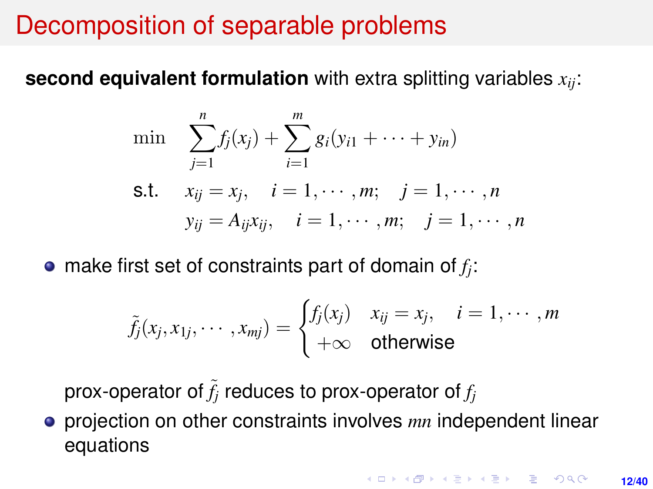## Decomposition of separable problems

**second equivalent formulation** with extra splitting variables *xij*:

min 
$$
\sum_{j=1}^{n} f_j(x_j) + \sum_{i=1}^{m} g_i(y_{i1} + \cdots + y_{in})
$$
  
\ns.t.  $x_{ij} = x_j$ ,  $i = 1, \dots, m$ ;  $j = 1, \dots, n$   
\n $y_{ij} = A_{ij}x_{ij}$ ,  $i = 1, \dots, m$ ;  $j = 1, \dots, n$ 

make first set of constraints part of domain of *f<sup>j</sup>* :

$$
\tilde{f}_j(x_j,x_{1j},\cdots,x_{mj})=\begin{cases}f_j(x_j)&x_{ij}=x_j,&i=1,\cdots,m\\+\infty&\text{otherwise}\end{cases}
$$

prox-operator of  $\tilde{f}_j$  reduces to prox-operator of  $f_j$ 

projection on other constraints involves *mn* independent linear equations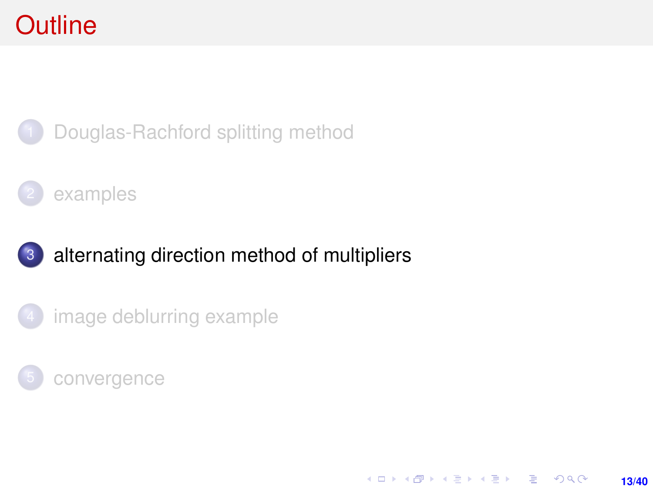# <span id="page-12-0"></span>**Outline**



[Douglas-Rachford splitting method](#page-1-0)



### 3 [alternating direction method of multipliers](#page-12-0)

[image deblurring example](#page-20-0)



K ロ ▶ K @ ▶ K 할 ▶ K 할 ▶ ... 할 → 9 Q @ **13/40**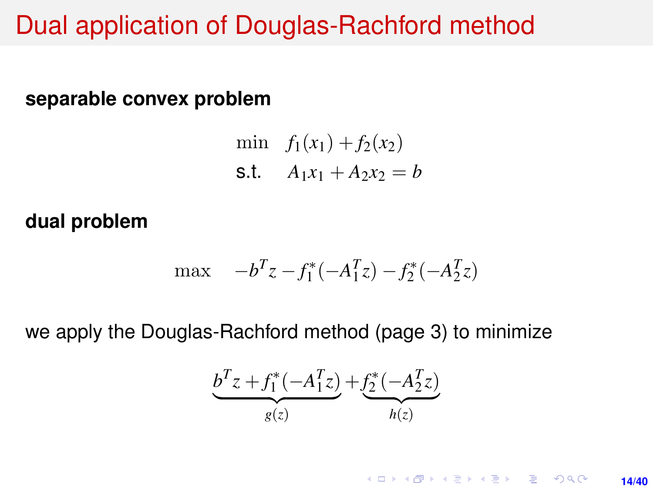## Dual application of Douglas-Rachford method

#### **separable convex problem**

min  $f_1(x_1) + f_2(x_2)$ s.t.  $A_1x_1 + A_2x_2 = b$ 

#### **dual problem**

$$
\max \quad -b^T z - f_1^*(-A_1^T z) - f_2^*(-A_2^T z)
$$

we apply the Douglas-Rachford method (page 3) to minimize

$$
\underbrace{b^T z + f_1^*(-A_1^T z)}_{g(z)} + \underbrace{f_2^*(-A_2^T z)}_{h(z)}
$$

**KORKARKKERK E VAN 14/40**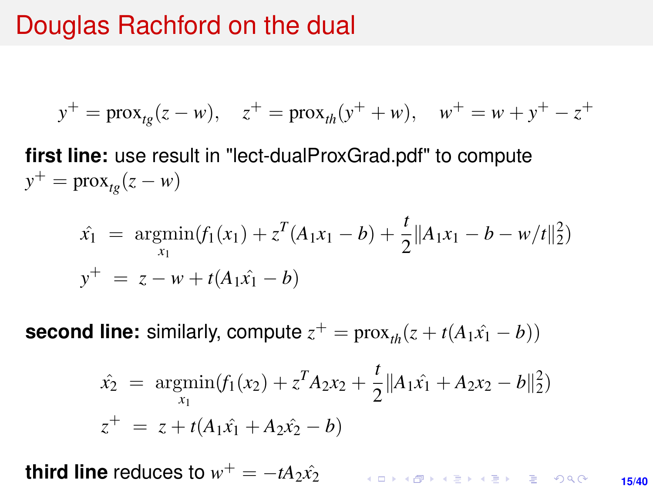## <span id="page-14-0"></span>Douglas Rachford on the dual

$$
y^+ = \text{prox}_{tg}(z - w), \quad z^+ = \text{prox}_{th}(y^+ + w), \quad w^+ = w + y^+ - z^+
$$

**first line:** use result in "lect-dualProxGrad.pdf" to compute  $y^+$  = prox<sub>tg</sub>( $z - w$ )

$$
\hat{x}_1 = \underset{x_1}{\operatorname{argmin}} (f_1(x_1) + z^T (A_1 x_1 - b) + \frac{t}{2} ||A_1 x_1 - b - w/t||_2^2)
$$
  

$$
y^+ = z - w + t (A_1 \hat{x}_1 - b)
$$

**second line:** similarly, compute  $z^+$  =  $prox_{th}(z + t(A_1\hat{x}_1 - b))$ 

$$
\hat{x_2} = \underset{x_1}{\text{argmin}} (f_1(x_2) + z^T A_2 x_2 + \frac{t}{2} ||A_1 \hat{x_1} + A_2 x_2 - b||_2^2)
$$
  

$$
z^+ = z + t(A_1 \hat{x_1} + A_2 \hat{x_2} - b)
$$

**third line** reduces to  $w^+ = -tA_2\hat{x_2}$ 

KO KKO KABIKA BIKA 2000 **15/40**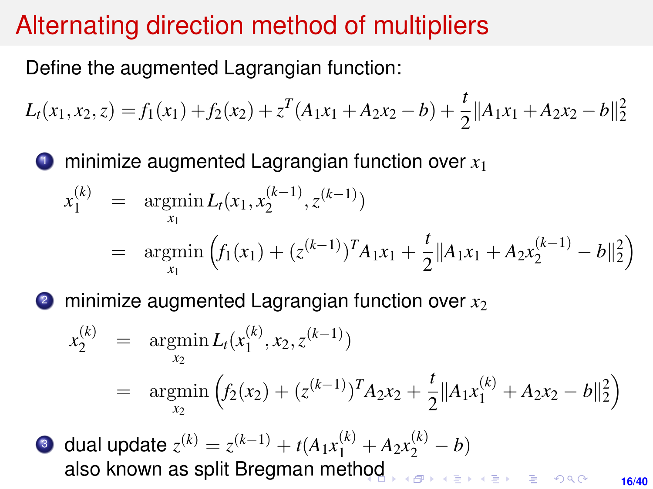# <span id="page-15-0"></span>Alternating direction method of multipliers

Define the augmented Lagrangian function:

$$
L_t(x_1, x_2, z) = f_1(x_1) + f_2(x_2) + z^T(A_1x_1 + A_2x_2 - b) + \frac{t}{2} ||A_1x_1 + A_2x_2 - b||_2^2
$$

minimize augmented Lagrangian function over  $x_1$ 

$$
x_1^{(k)} = \underset{x_1}{\operatorname{argmin}} L_t(x_1, x_2^{(k-1)}, z^{(k-1)})
$$
  
= 
$$
\underset{x_1}{\operatorname{argmin}} \left( f_1(x_1) + (z^{(k-1)})^T A_1 x_1 + \frac{t}{2} \| A_1 x_1 + A_2 x_2^{(k-1)} - b \|_2^2 \right)
$$

 $\bullet$  minimize augmented Lagrangian function over  $x_2$ 

$$
x_2^{(k)} = \underset{x_2}{\operatorname{argmin}} L_t(x_1^{(k)}, x_2, z^{(k-1)})
$$
  
= 
$$
\underset{x_2}{\operatorname{argmin}} \left( f_2(x_2) + (z^{(k-1)})^T A_2 x_2 + \frac{t}{2} ||A_1 x_1^{(k)} + A_2 x_2 - b||_2^2 \right)
$$

**3** dual update  $z^{(k)} = z^{(k-1)} + t(A_1x_1^{(k)} + A_2x_2^{(k)} - b)$ also known as split Bregman met[hod](#page-14-0)

**16/40**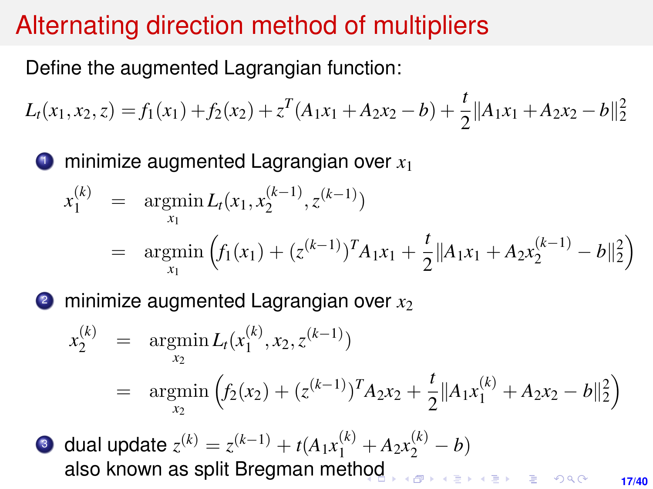# Alternating direction method of multipliers

Define the augmented Lagrangian function:

$$
L_t(x_1, x_2, z) = f_1(x_1) + f_2(x_2) + z^T(A_1x_1 + A_2x_2 - b) + \frac{t}{2} ||A_1x_1 + A_2x_2 - b||_2^2
$$

<sup>1</sup> minimize augmented Lagrangian over *x*<sup>1</sup>

$$
x_1^{(k)} = \underset{x_1}{\operatorname{argmin}} L_t(x_1, x_2^{(k-1)}, z^{(k-1)})
$$
  
=  $\underset{x_1}{\operatorname{argmin}} \left( f_1(x_1) + (z^{(k-1)})^T A_1 x_1 + \frac{t}{2} ||A_1 x_1 + A_2 x_2^{(k-1)} - b||_2^2 \right)$ 

 $\bullet$  minimize augmented Lagrangian over  $x_2$ 

$$
x_2^{(k)} = \underset{x_2}{\operatorname{argmin}} L_t(x_1^{(k)}, x_2, z^{(k-1)})
$$
  
= 
$$
\underset{x_2}{\operatorname{argmin}} \left( f_2(x_2) + (z^{(k-1)})^T A_2 x_2 + \frac{t}{2} ||A_1 x_1^{(k)} + A_2 x_2 - b||_2^2 \right)
$$

**3** dual update  $z^{(k)} = z^{(k-1)} + t(A_1x_1^{(k)} + A_2x_2^{(k)} - b)$ also known as split Bregman met[hod](#page-15-0)

**17/40**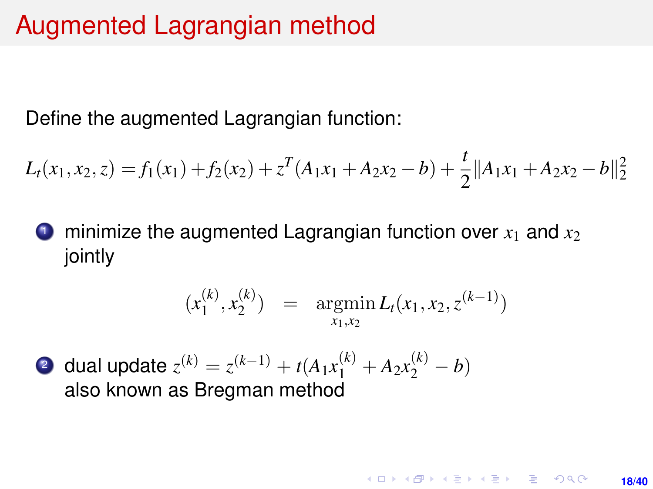## Augmented Lagrangian method

Define the augmented Lagrangian function:

$$
L_t(x_1, x_2, z) = f_1(x_1) + f_2(x_2) + z^T(A_1x_1 + A_2x_2 - b) + \frac{t}{2} ||A_1x_1 + A_2x_2 - b||_2^2
$$

minimize the augmented Lagrangian function over  $x_1$  and  $x_2$ jointly

$$
(x_1^{(k)}, x_2^{(k)}) = \operatorname{argmin}_{x_1, x_2} L_t(x_1, x_2, z^{(k-1)})
$$

**18/40**

**KORKARK A BIK BIKA A GA A GA A GA A BIKA A BIKA A BIKA A BIKA A BIKA A BIKA A BIKA A BIKA A BIKA A BIKA A BIKA** 

2 dual update  $z^{(k)} = z^{(k-1)} + t(A_1x_1^{(k)} + A_2x_2^{(k)} - b)$ also known as Bregman method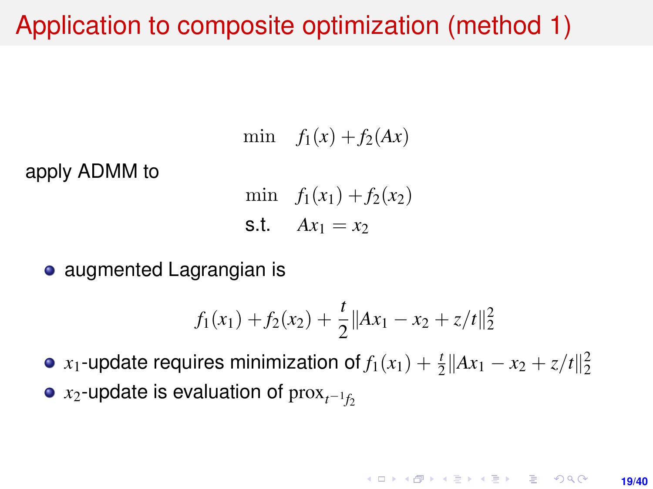## Application to composite optimization (method 1)

min  $f_1(x) + f_2(Ax)$ 

apply ADMM to

min  $f_1(x_1) + f_2(x_2)$ s.t.  $Ax_1 = x_2$ 

**•** augmented Lagrangian is

$$
f_1(x_1) + f_2(x_2) + \frac{t}{2} ||Ax_1 - x_2 + z/t||_2^2
$$

*x*<sub>1</sub>-update requires minimization of  $f_1(x_1) + \frac{t}{2} ||Ax_1 - x_2 + z/t||_2^2$ *x*2-update is evaluation of  $\max_{t^{-1}f_2}$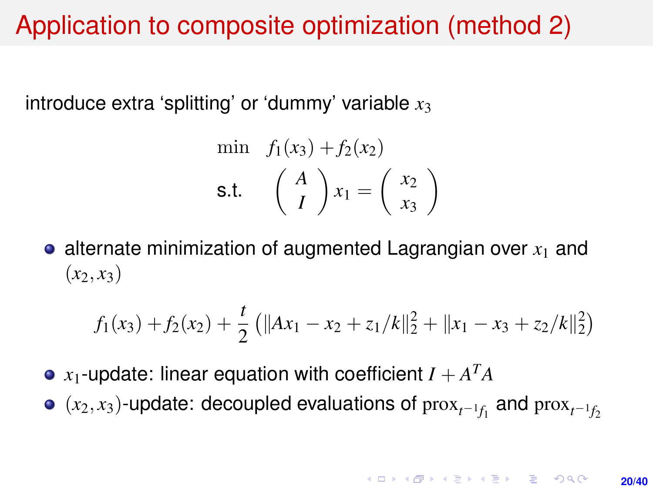# Application to composite optimization (method 2)

introduce extra 'splitting' or 'dummy' variable  $x_3$ 

$$
\begin{aligned}\n\text{min} \quad & f_1(x_3) + f_2(x_2) \\
\text{s.t.} \quad & \left(\begin{array}{c} A \\ I \end{array}\right) x_1 = \left(\begin{array}{c} x_2 \\ x_3 \end{array}\right)\n\end{aligned}
$$

 $\bullet$  alternate minimization of augmented Lagrangian over  $x_1$  and  $(x_2, x_3)$ 

$$
f_1(x_3) + f_2(x_2) + \frac{t}{2} (||Ax_1 - x_2 + z_1/k||_2^2 + ||x_1 - x_3 + z_2/k||_2^2)
$$

- $x_1$ -update: linear equation with coefficient  $I + A^TA$
- $(x_2, x_3)$ -update: decoupled evaluations of  $prox_{t^{-1}f_1}$  and  $prox_{t^{-1}f_2}$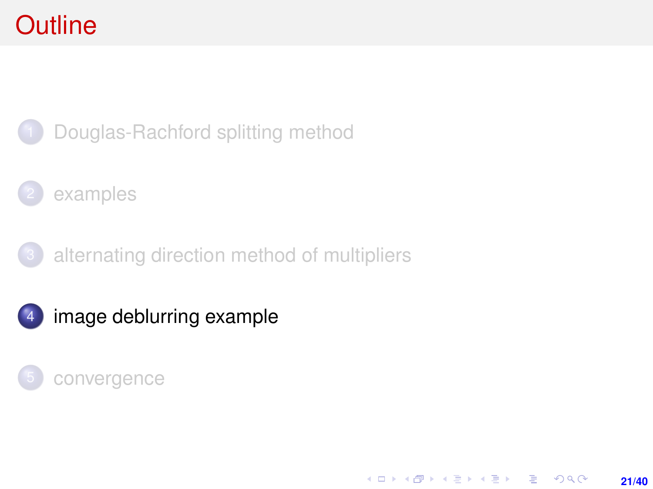# <span id="page-20-0"></span>**Outline**



### [examples](#page-6-0)

[alternating direction method of multipliers](#page-12-0)

**21/40**

K ロ > K @ > K 할 > K 할 > → 할 → 9 Q @

4 [image deblurring example](#page-20-0)

### [convergence](#page-26-0)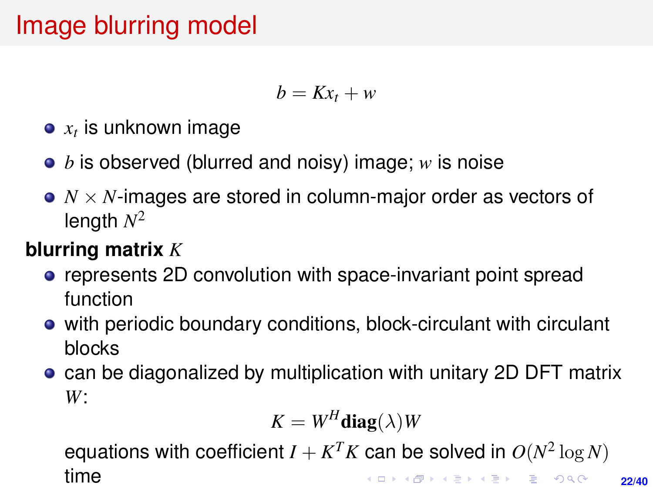# Image blurring model

$$
b=Kx_t+w
$$

- $\boldsymbol{x_t}$  is unknown image
- *b* is observed (blurred and noisy) image; *w* is noise
- *N* × *N*-images are stored in column-major order as vectors of length *N* 2

### **blurring matrix** *K*

- **•** represents 2D convolution with space-invariant point spread function
- with periodic boundary conditions, block-circulant with circulant blocks
- **can be diagonalized by multiplication with unitary 2D DFT matrix** *W*:

$$
K = W^H \mathbf{diag}(\lambda) W
$$

equations with coefficient  $I + K^T K$  can be solved in  $O(N^2 \log N)$ time**KORKARK A BIK BIKA A GA A GA A GA A BIKA A BIKA A BIKA A BIKA A BIKA A BIKA A BIKA A BIKA A BIKA A BIKA A BIKA**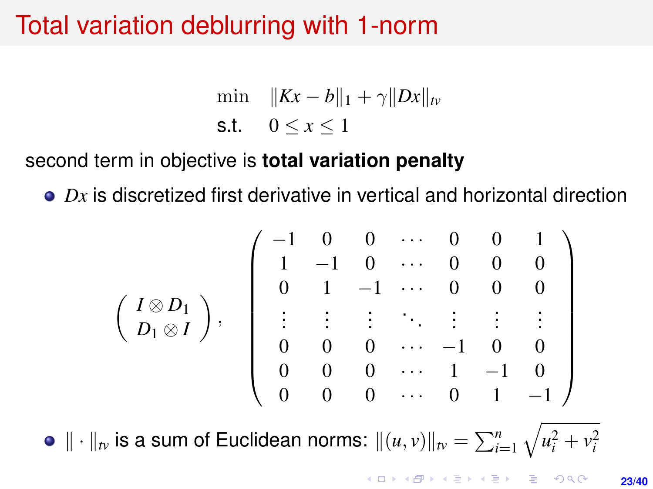# Total variation deblurring with 1-norm

$$
\min \quad \|Kx - b\|_1 + \gamma \|Dx\|_{\text{fv}}
$$
\n
$$
\text{s.t.} \quad 0 \le x \le 1
$$

### second term in objective is **total variation penalty**

*Dx* is discretized first derivative in vertical and horizontal direction

$$
\left(\begin{array}{c}I\otimes D_1 \\ D_1\otimes I\end{array}\right),\quad \left(\begin{array}{ccccc}-1&0&0&\cdots&0&0&1\\1&-1&0&\cdots&0&0&0\\0&1&-1&\cdots&0&0&0\\ \vdots&\vdots&\vdots&\ddots&\vdots&\vdots&\vdots\\0&0&0&\cdots&-1&0&0\\0&0&0&\cdots&1&-1&0\\0&0&0&\cdots&0&1&-1\end{array}\right)
$$

 $\| \cdot \|_{tv}$  is a sum of Euclidean norms:  $\|(u, v)\|_{tv} = \sum_{i=1}^n \sqrt{u_i^2 + v_i^2}$ 

**KORKARK A BIK BIKA A GA A GA A GA A BIKA A BIKA A BIKA A BIKA A BIKA A BIKA A BIKA A BIKA A BIKA A BIKA A BIKA 23/40**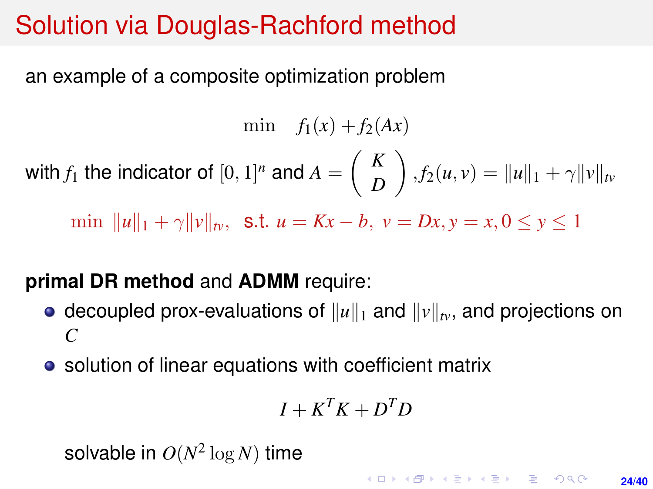# Solution via Douglas-Rachford method

an example of a composite optimization problem

min  $f_1(x) + f_2(Ax)$ with  $f_1$  the indicator of  $[0,1]^n$  and  $A = \begin{pmatrix} K & 0 \\ 0 & 0 \end{pmatrix}$ *D*  $\int$ ,  $f_2(u, v) = ||u||_1 + \gamma ||v||_{tv}$ min  $||u||_1 + \gamma ||v||_{tv}$ , s.t.  $u = Kx - b$ ,  $v = Dx$ ,  $y = x, 0 \le y \le 1$ 

### **primal DR method** and **ADMM** require:

- decoupled prox-evaluations of  $||u||_1$  and  $||v||_{tv}$ , and projections on *C*
- solution of linear equations with coefficient matrix

$$
I + K^T K + D^T D
$$

solvable in  $O(N^2 \log N)$  time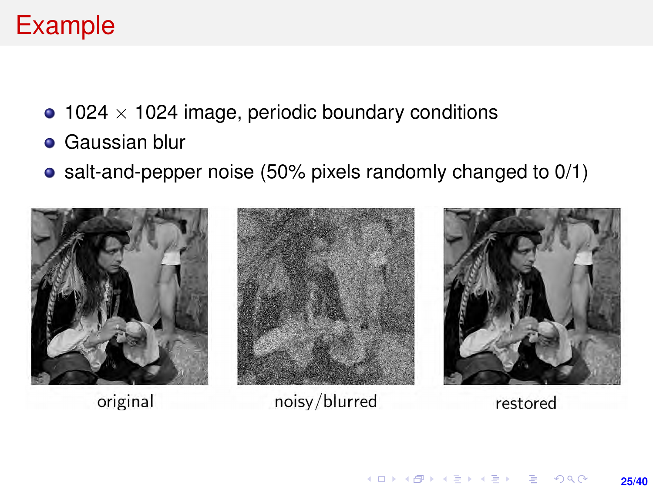# <span id="page-24-0"></span>Example

- $\bullet$  1024  $\times$  1024 image, periodic boundary conditions
- **Gaussian blur**
- salt-and-pepper noise (50% pixels randomly changed to 0/1)

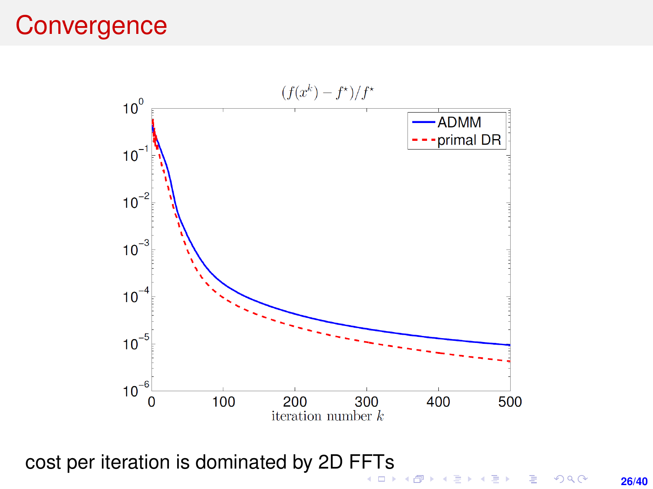## **Convergence**



cost per iteration is dominated by 2D F[FT](#page-24-0)[s](#page-26-0)

**26/40**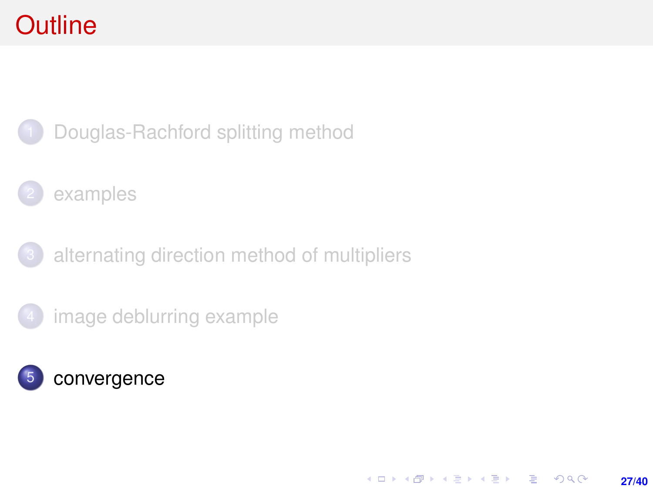# <span id="page-26-0"></span>**Outline**



- [examples](#page-6-0)
- [alternating direction method of multipliers](#page-12-0)
- [image deblurring example](#page-20-0)



K ロ > K @ > K 할 > K 할 > → 할 → 9 Q @ **27/40**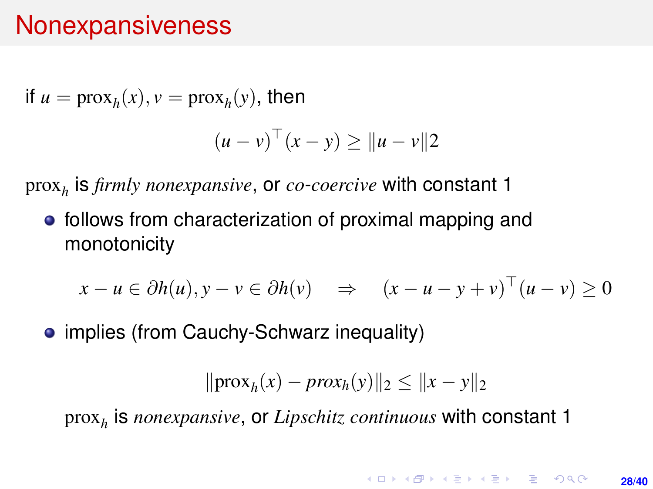## **Nonexpansiveness**

if  $u = \text{prox}_{h}(x)$ ,  $v = \text{prox}_{h}(y)$ , then

$$
(u-v)^\top (x-y) \ge ||u-v||^2
$$

prox*<sup>h</sup>* is *firmly nonexpansive*, or *co*-*coercive* with constant 1

• follows from characterization of proximal mapping and monotonicity

$$
x - u \in \partial h(u), y - v \in \partial h(v) \quad \Rightarrow \quad (x - u - y + v)^\top (u - v) \ge 0
$$

• implies (from Cauchy-Schwarz inequality)

$$
\|\text{prox}_{h}(x) - \text{prox}_{h}(y)\|_2 \le \|x - y\|_2
$$

prox*<sup>h</sup>* is *nonexpansive*, or *Lipschitz continuous* with constant 1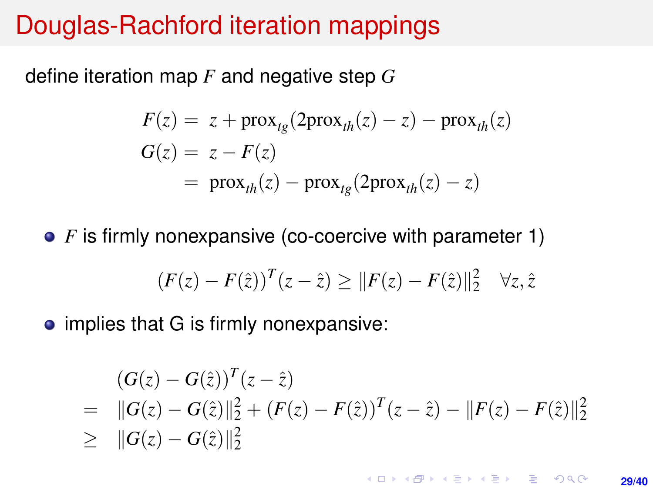## Douglas-Rachford iteration mappings

define iteration map *F* and negative step *G*

$$
F(z) = z + \text{prox}_{tg}(2\text{prox}_{th}(z) - z) - \text{prox}_{th}(z)
$$
  
\n
$$
G(z) = z - F(z)
$$
  
\n
$$
= \text{prox}_{th}(z) - \text{prox}_{tg}(2\text{prox}_{th}(z) - z)
$$

• *F* is firmly nonexpansive (co-coercive with parameter 1)

$$
(F(z) - F(\hat{z}))^{T} (z - \hat{z}) \geq ||F(z) - F(\hat{z})||_{2}^{2} \quad \forall z, \hat{z}
$$

• implies that G is firmly nonexpansive:

$$
(G(z) - G(\hat{z}))^{T} (z - \hat{z})
$$
  
=  $||G(z) - G(\hat{z})||_{2}^{2} + (F(z) - F(\hat{z}))^{T} (z - \hat{z}) - ||F(z) - F(\hat{z})||_{2}^{2}$   
 $\geq ||G(z) - G(\hat{z})||_{2}^{2}$ 

**KORKARK A BIK BIKA A GA A GA A GA A BIKA A BIKA A BIKA A BIKA A BIKA A BIKA A BIKA A BIKA A BIKA A BIKA A BIKA 29/40**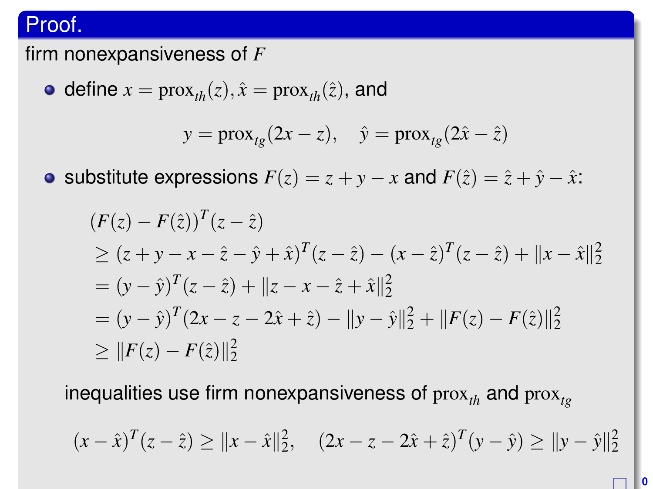### Proof.

firm nonexpansiveness of *F*

• define 
$$
x = prox_{th}(z)
$$
,  $\hat{x} = prox_{th}(\hat{z})$ , and

$$
y = \text{prox}_{tg}(2x - z), \quad \hat{y} = \text{prox}_{tg}(2\hat{x} - \hat{z})
$$

• substitute expressions  $F(z) = z + y - x$  and  $F(\hat{z}) = \hat{z} + \hat{y} - \hat{x}$ .

$$
(F(z) - F(\hat{z}))^{T} (z - \hat{z})
$$
  
\n
$$
\geq (z + y - x - \hat{z} - \hat{y} + \hat{x})^{T} (z - \hat{z}) - (x - \hat{z})^{T} (z - \hat{z}) + ||x - \hat{x}||_{2}^{2}
$$
  
\n
$$
= (y - \hat{y})^{T} (z - \hat{z}) + ||z - x - \hat{z} + \hat{x}||_{2}^{2}
$$
  
\n
$$
= (y - \hat{y})^{T} (2x - z - 2\hat{x} + \hat{z}) - ||y - \hat{y}||_{2}^{2} + ||F(z) - F(\hat{z})||_{2}^{2}
$$
  
\n
$$
\geq ||F(z) - F(\hat{z})||_{2}^{2}
$$

inequalities use firm nonexpansiveness of prox<sub>th</sub> and prox<sub>tg</sub>

$$
(x - \hat{x})^T (z - \hat{z}) \ge ||x - \hat{x}||_2^2, \quad (2x - z - 2\hat{x} + \hat{z})^T (y - \hat{y}) \ge ||y - \hat{y}||_2^2
$$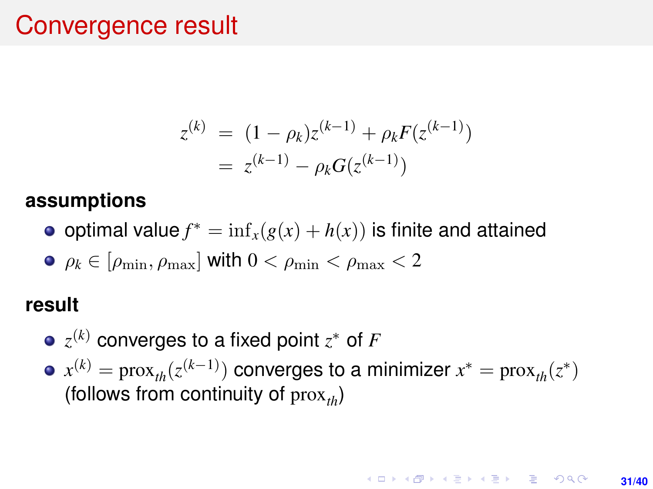## Convergence result

$$
z^{(k)} = (1 - \rho_k)z^{(k-1)} + \rho_k F(z^{(k-1)})
$$
  
=  $z^{(k-1)} - \rho_k G(z^{(k-1)})$ 

#### **assumptions**

- optimal value  $f^* = \inf_x(g(x) + h(x))$  is finite and attained
- $\bullet$   $\rho_k \in [\rho_{\min}, \rho_{\max}]$  with  $0 < \rho_{\min} < \rho_{\max} < 2$

### **result**

- $z^{(k)}$  converges to a fixed point  $z^*$  of  $F$
- $x^{(k)} = \textrm{prox}_{th}(z^{(k-1)})$  converges to a minimizer  $x^* = \textrm{prox}_{th}(z^*)$ (follows from continuity of  $prox_{i}$ )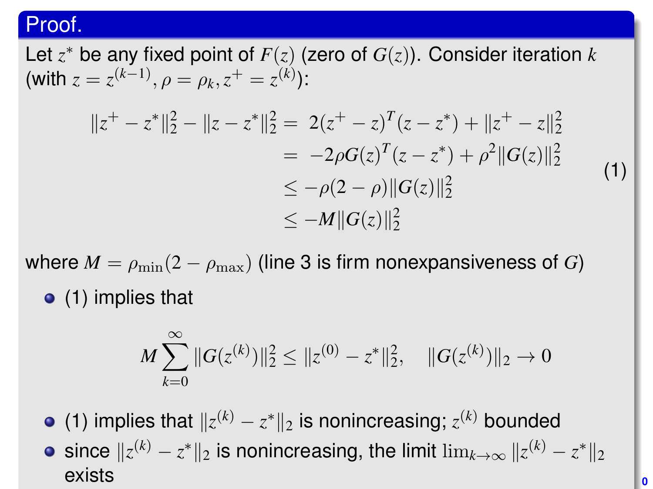### Proof.

Let *z* <sup>∗</sup> be any fixed point of *F*(*z*) (zero of *G*(*z*)). Consider iteration *k*  $(\text{with } z = z^{(k-1)}, \rho = \rho_k, z^+ = z^{(k)}):$ 

<span id="page-31-0"></span>
$$
||z^{+} - z^{*}||_{2}^{2} - ||z - z^{*}||_{2}^{2} = 2(z^{+} - z)^{T}(z - z^{*}) + ||z^{+} - z||_{2}^{2}
$$
  
\n
$$
= -2\rho G(z)^{T}(z - z^{*}) + \rho^{2}||G(z)||_{2}^{2}
$$
  
\n
$$
\leq -\rho(2 - \rho)||G(z)||_{2}^{2}
$$
  
\n
$$
\leq -M||G(z)||_{2}^{2}
$$
\n(1)

where  $M = \rho_{\min}(2 - \rho_{\max})$  (line 3 is firm nonexpansiveness of *G*) [\(1\)](#page-31-0) implies that

$$
M\sum_{k=0}^{\infty} ||G(z^{(k)})||_2^2 \leq ||z^{(0)} - z^*||_2^2, \quad ||G(z^{(k)})||_2 \to 0
$$

[\(1\)](#page-31-0) implies that  $||z^{(k)} - z^*||_2$  is nonincreasing;  $z^{(k)}$  bounded since  $\|z^{(k)} - z^*\|_2$  is nonincreasing, the limit  $\lim_{k\to\infty}\|z^{(k)} - z^*\|_2$ exists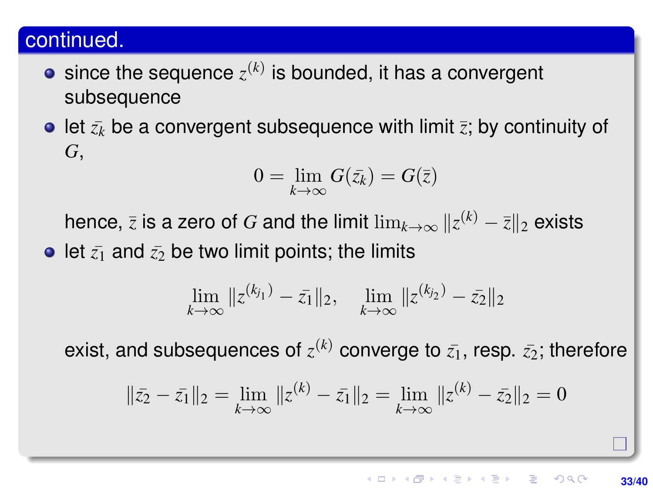### continued.

- since the sequence  $z^{(k)}$  is bounded, it has a convergent subsequence
- $\bullet$  let  $\bar{z}_k$  be a convergent subsequence with limit  $\bar{z}$ ; by continuity of *G*,

$$
0=\lim_{k\to\infty}G(\bar{z}_k)=G(\bar{z})
$$

hence,  $\bar{z}$  is a zero of  $G$  and the limit  $\lim_{k\to\infty}\|z^{(k)}-\bar{z}\|_2$  exists

• let  $\bar{z_1}$  and  $\bar{z_2}$  be two limit points; the limits

$$
\lim_{k \to \infty} \|z^{(k_{j_1})} - \bar{z_1}\|_2, \quad \lim_{k \to \infty} \|z^{(k_{j_2})} - \bar{z_2}\|_2
$$

exist, and subsequences of  $z^{(k)}$  converge to  $\bar{z_1}$ , resp.  $\bar{z_2}$ ; therefore

$$
\|\bar{z_2} - \bar{z_1}\|_2 = \lim_{k \to \infty} \|z^{(k)} - \bar{z_1}\|_2 = \lim_{k \to \infty} \|z^{(k)} - \bar{z_2}\|_2 = 0
$$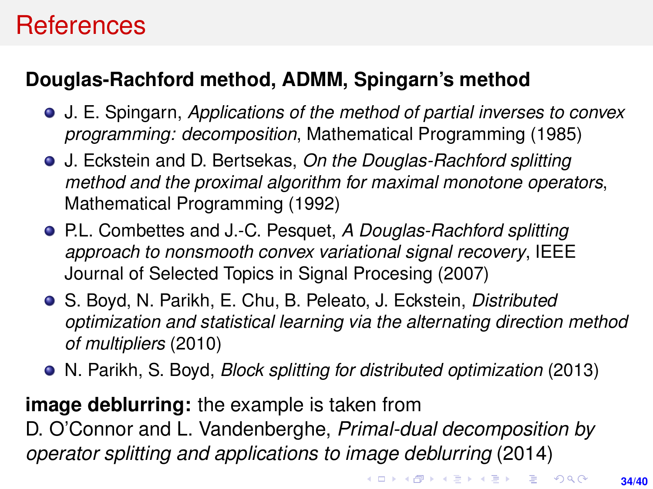# **References**

### **Douglas-Rachford method, ADMM, Spingarn's method**

- J. E. Spingarn, *Applications of the method of partial inverses to convex programming: decomposition*, Mathematical Programming (1985)
- J. Eckstein and D. Bertsekas, *On the Douglas-Rachford splitting method and the proximal algorithm for maximal monotone operators*, Mathematical Programming (1992)
- P.L. Combettes and J.-C. Pesquet, *A Douglas-Rachford splitting approach to nonsmooth convex variational signal recovery*, IEEE Journal of Selected Topics in Signal Procesing (2007)
- S. Boyd, N. Parikh, E. Chu, B. Peleato, J. Eckstein, *Distributed optimization and statistical learning via the alternating direction method of multipliers* (2010)
- N. Parikh, S. Boyd, *Block splitting for distributed optimization* (2013)

**image deblurring:** the example is taken from D. O'Connor and L. Vandenberghe, *Primal-dual decomposition by operator splitting and applications to image deblurring* (2014)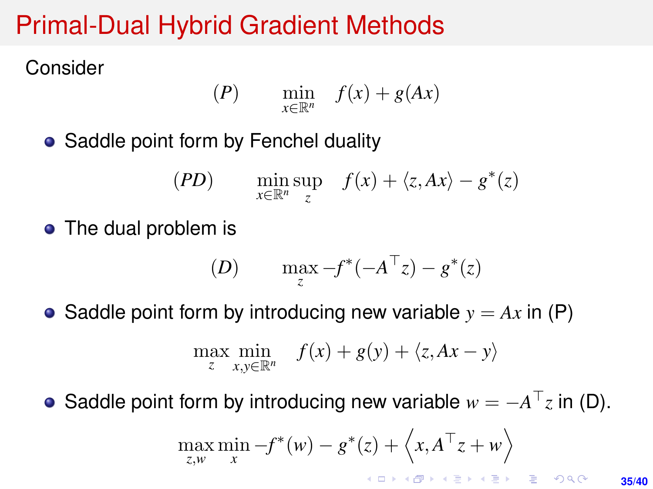# Primal-Dual Hybrid Gradient Methods

Consider

$$
(P) \qquad \min_{x \in \mathbb{R}^n} \quad f(x) + g(Ax)
$$

• Saddle point form by Fenchel duality

$$
(PD) \qquad \min_{x \in \mathbb{R}^n} \sup_z \quad f(x) + \langle z, Ax \rangle - g^*(z)
$$

• The dual problem is

(D) 
$$
\max_{z} -f^*(-A^{\top}z) - g^*(z)
$$

• Saddle point form by introducing new variable  $y = Ax$  in (P)

$$
\max_{z} \min_{x,y \in \mathbb{R}^n} f(x) + g(y) + \langle z, Ax - y \rangle
$$

Saddle point form by introducing new variable  $w = -A^\top z$  in (D).  $\bullet$ 

$$
\max_{z,w} \min_x -f^*(w) - g^*(z) + \langle x, A^\top z + w \rangle
$$

**35/40**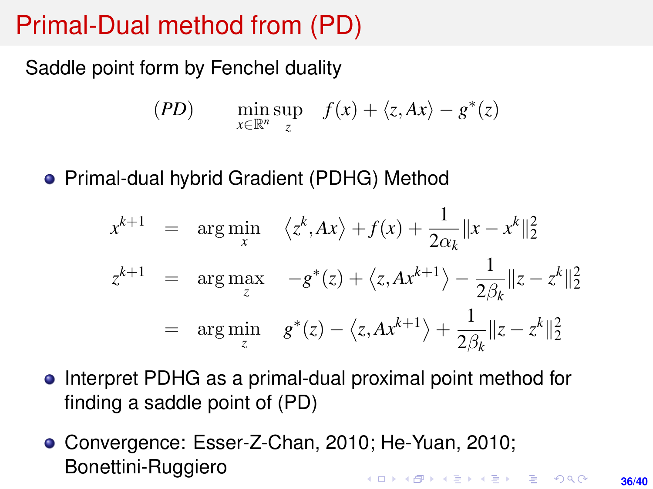# Primal-Dual method from (PD)

Saddle point form by Fenchel duality

$$
(PD) \qquad \min_{x \in \mathbb{R}^n} \sup_z \quad f(x) + \langle z, Ax \rangle - g^*(z)
$$

• Primal-dual hybrid Gradient (PDHG) Method

$$
x^{k+1} = \arg\min_{x} \langle z^k, Ax \rangle + f(x) + \frac{1}{2\alpha_k} ||x - x^k||_2^2
$$
  

$$
z^{k+1} = \arg\max_{z} -g^*(z) + \langle z, Ax^{k+1} \rangle - \frac{1}{2\beta_k} ||z - z^k||_2^2
$$
  

$$
= \arg\min_{z} g^*(z) - \langle z, Ax^{k+1} \rangle + \frac{1}{2\beta_k} ||z - z^k||_2^2
$$

- **•** Interpret PDHG as a primal-dual proximal point method for finding a saddle point of (PD)
- Convergence: Esser-Z-Chan, 2010; He-Yuan, 2010; Bonettini-Ruggiero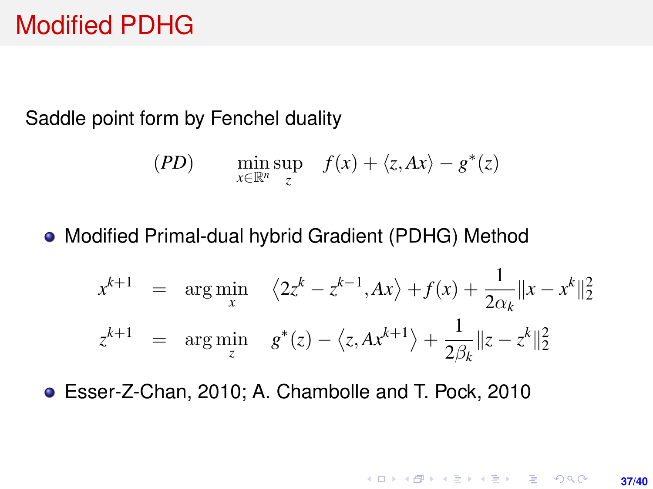## Modified PDHG

Saddle point form by Fenchel duality

$$
(PD) \qquad \min_{x \in \mathbb{R}^n} \sup_z \quad f(x) + \langle z, Ax \rangle - g^*(z)
$$

Modified Primal-dual hybrid Gradient (PDHG) Method

$$
x^{k+1} = \arg\min_{x} \quad \langle 2z^k - z^{k-1}, Ax \rangle + f(x) + \frac{1}{2\alpha_k} ||x - x^k||_2^2
$$
  

$$
z^{k+1} = \arg\min_{z} \quad g^*(z) - \langle z, Ax^{k+1} \rangle + \frac{1}{2\beta_k} ||z - z^k||_2^2
$$

**37/40**

**KORKARK KERKER DRAM** 

Esser-Z-Chan, 2010; A. Chambolle and T. Pock, 2010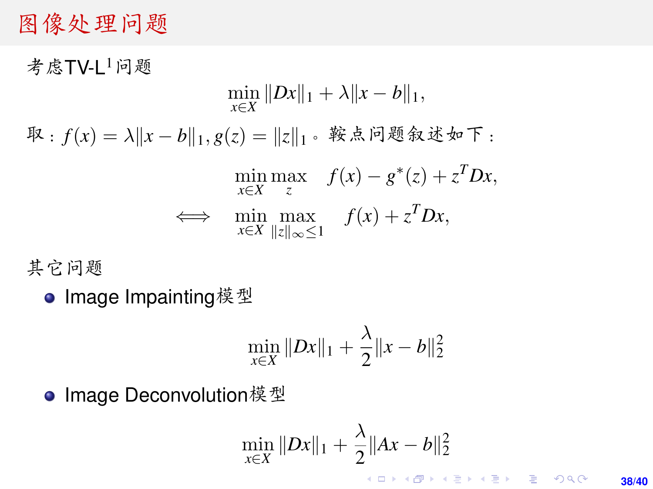### <sup>图</sup>像处理问题

者虑TV-I <sup>1</sup>问题  $\min_{x \in X} \|Dx\|_1 + \lambda \|x - b\|_1,$  $\mathbb{R}: f(x) = \lambda \|x - b\|_1, g(z) = \|z\|_1$ 。鞍点问题叙述如下:  $\min_{x \in X} \max_{z} f(x) - g^*(z) + z^T D x,$  $\iff$  min max  $f(x) + z^T Dx$ , *x*∈*X* k*z*k∞≤1

<sup>其</sup>它问题

● Image Impainting模型

$$
\min_{x \in X} \|Dx\|_1 + \frac{\lambda}{2} \|x - b\|_2^2
$$

● Image Deconvolution模型

$$
\min_{x \in X} \|Dx\|_1 + \frac{\lambda}{2} \|Ax - b\|_2^2
$$

**38/40**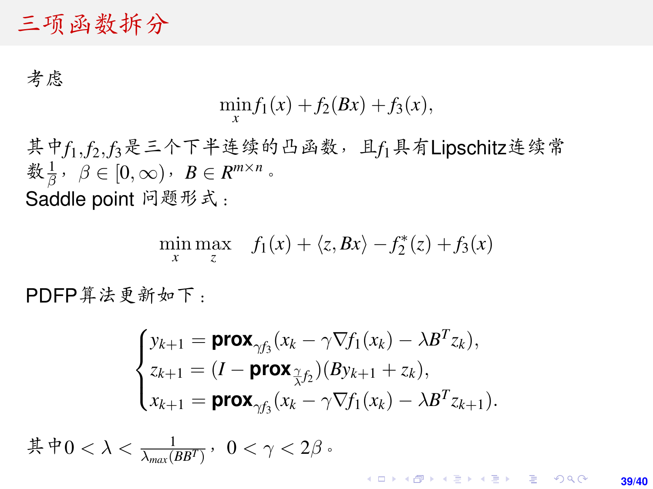### <sup>三</sup>项函数拆<sup>分</sup>

考虑

$$
\min_{x} f_1(x) + f_2(Bx) + f_3(x),
$$

其中f1, f<sub>2</sub>, f<sub>3</sub>是三个下半连续的凸函数, 且f1具有Lipschitz连续常 数 $\frac{1}{\beta}$ ,  $\beta \in [0, \infty)$ ,  $B \in R^{m \times n}$ . Saddle point <sup>问</sup>题形式:

$$
\min_{x} \max_{z} f_1(x) + \langle z, Bx \rangle - f_2^*(z) + f_3(x)
$$

PDFP算法更新如下:

$$
\begin{cases}\ny_{k+1} = \text{prox}_{\gamma f_3}(x_k - \gamma \nabla f_1(x_k) - \lambda B^T z_k), \\
z_{k+1} = (I - \text{prox}_{\tilde{\gamma} f_2})(By_{k+1} + z_k), \\
x_{k+1} = \text{prox}_{\gamma f_3}(x_k - \gamma \nabla f_1(x_k) - \lambda B^T z_{k+1}).\n\end{cases}
$$

其中 $0 < \lambda < \frac{1}{\lambda_{max}(BB^T)}$ ,  $0 < \gamma < 2\beta$ 。

**KORKARK A BIK BIKA A GA A GA A GA A BIKA A BIKA A BIKA A BIKA A BIKA A BIKA A BIKA A BIKA A BIKA A BIKA A BIKA 39/40**